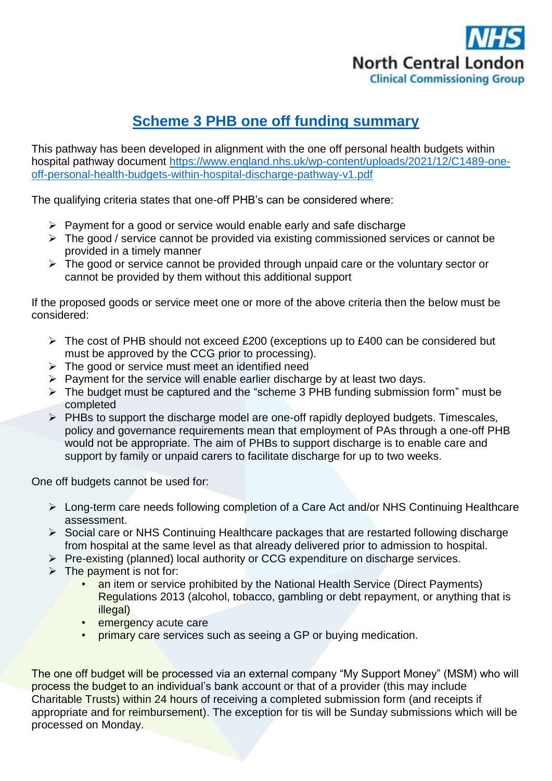

## **Scheme 3 PHB one off funding summary**

This pathway has been developed in alignment with the one off personal health budgets within hospital pathway document [https://www.england.nhs.uk/wp-content/uploads/2021/12/C1489-one](https://www.england.nhs.uk/wp-content/uploads/2021/12/C1489-one-off-personal-health-budgets-within-hospital-discharge-pathway-v1.pdf)[off-personal-health-budgets-within-hospital-discharge-pathway-v1.pdf](https://www.england.nhs.uk/wp-content/uploads/2021/12/C1489-one-off-personal-health-budgets-within-hospital-discharge-pathway-v1.pdf)

The qualifying criteria states that one-off PHB's can be considered where:

- $\triangleright$  Payment for a good or service would enable early and safe discharge
- $\triangleright$  The good / service cannot be provided via existing commissioned services or cannot be provided in a timely manner
- $\triangleright$  The good or service cannot be provided through unpaid care or the voluntary sector or cannot be provided by them without this additional support

If the proposed goods or service meet one or more of the above criteria then the below must be considered:

- $\triangleright$  The cost of PHB should not exceed £200 (exceptions up to £400 can be considered but must be approved by the CCG prior to processing).
- $\triangleright$  The good or service must meet an identified need
- $\triangleright$  Payment for the service will enable earlier discharge by at least two days.
- $\triangleright$  The budget must be captured and the "scheme 3 PHB funding submission form" must be completed
- $\triangleright$  PHBs to support the discharge model are one-off rapidly deployed budgets. Timescales, policy and governance requirements mean that employment of PAs through a one-off PHB would not be appropriate. The aim of PHBs to support discharge is to enable care and support by family or unpaid carers to facilitate discharge for up to two weeks.

One off budgets cannot be used for:

- Long-term care needs following completion of a Care Act and/or NHS Continuing Healthcare assessment.
- Social care or NHS Continuing Healthcare packages that are restarted following discharge from hospital at the same level as that already delivered prior to admission to hospital.
- $\triangleright$  Pre-existing (planned) local authority or CCG expenditure on discharge services.
- $\triangleright$  The payment is not for:
	- an item or service prohibited by the National Health Service (Direct Payments) Regulations 2013 (alcohol, tobacco, gambling or debt repayment, or anything that is illegal)
	- emergency acute care
	- primary care services such as seeing a GP or buying medication.

The one off budget will be processed via an external company "My Support Money" (MSM) who will process the budget to an individual's bank account or that of a provider (this may include Charitable Trusts) within 24 hours of receiving a completed submission form (and receipts if appropriate and for reimbursement). The exception for tis will be Sunday submissions which will be processed on Monday.